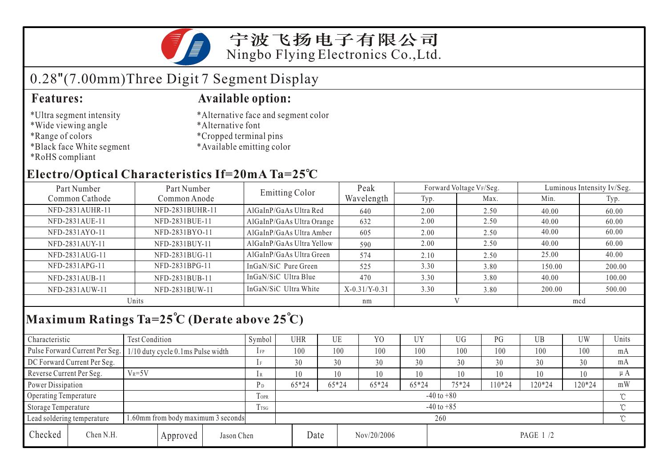

## 0.28"(7.00mm)Three Digit 7 Segment Display

- \*Ultra segment intensity
- \*Wide viewing angle
- \*Range of colors
- \*Black face White segment
- \*RoHS compliant

#### **Features: Available option:**

- \*Alternative face and segment color
- \*Alternative font
- \*Cropped terminal pins
- \*Available emitting color

### **Electro/Optical Characteristics If=20mA Ta=25 C**

| Part Number<br>Part Number |                 | <b>Emitting Color</b>     | Peak            |      | Forward Voltage VF/Seg. | Luminous Intensity Iv/Seg. |        |  |
|----------------------------|-----------------|---------------------------|-----------------|------|-------------------------|----------------------------|--------|--|
| Common Cathode             | Common Anode    |                           | Wavelength      | Typ. | Max.                    | Min.                       | Typ.   |  |
| NFD-2831AUHR-11            | NFD-2831BUHR-11 | AlGaInP/GaAs Ultra Red    | 640             | 2.00 | 2.50                    | 40.00                      | 60.00  |  |
| NFD-2831AUE-11             | NFD-2831BUE-11  | AlGaInP/GaAs Ultra Orange | 632             | 2.00 | 2.50                    | 40.00                      | 60.00  |  |
| NFD-2831AYO-11             | NFD-2831BYO-11  | AlGaInP/GaAs Ultra Amber  | 605             | 2.00 | 2.50                    | 40.00                      | 60.00  |  |
| NFD-2831AUY-11             | NFD-2831BUY-11  | AlGaInP/GaAs Ultra Yellow | 590             | 2.00 | 2.50                    | 40.00                      | 60.00  |  |
| NFD-2831AUG-11             | NFD-2831BUG-11  | AlGaInP/GaAs Ultra Green  | 574             | 2.10 | 2.50                    | 25.00                      | 40.00  |  |
| NFD-2831APG-11             | NFD-2831BPG-11  | InGaN/SiC Pure Green      | 525             | 3.30 | 3.80                    | 150.00                     | 200.00 |  |
| NFD-2831AUB-11             | NFD-2831BUB-11  | InGaN/SiC Ultra Blue      | 470             | 3.30 | 3.80                    | 40.00                      | 100.00 |  |
| NFD-2831AUW-11             | NFD-2831BUW-11  | InGaN/SiC Ultra White     | $X-0.31/Y-0.31$ | 3.30 | 3.80                    | 200.00                     | 500.00 |  |
| Units                      |                 |                           | nm              |      |                         | mcd                        |        |  |

## **Maximum Ratings Ta=25 C (Derate above 25 C)**

| Characteristic                                                   |                                | <b>Test Condition</b>             |          |                | Symbol         | <b>UHR</b> |         | UE          | Y <sub>O</sub> | UY    | UG        | PG     | UB       | UW  | Units |
|------------------------------------------------------------------|--------------------------------|-----------------------------------|----------|----------------|----------------|------------|---------|-------------|----------------|-------|-----------|--------|----------|-----|-------|
|                                                                  | Pulse Forward Current Per Seg. | 1/10 duty cycle 0.1ms Pulse width |          |                | $1$ FP         | 100        |         | 100         | 100            | 100   | 100       | 100    | 100      | 100 | mA    |
|                                                                  | DC Forward Current Per Seg.    |                                   |          |                |                | 30         |         | 30          | 30             | 30    | 30        | 30     | 30       | 30  | mA    |
| Reverse Current Per Seg.                                         |                                | $V_R = 5V$                        |          |                | 1 R            | 10         |         | 10          | 10             | 10    | 10        | 10     | 10       | 10  | μA    |
| Power Dissipation                                                |                                |                                   | $P_D$    | $65*24$        |                | $65*24$    | $65*24$ | 65*24       | $75*24$        | 10*24 | 120*24    | 120*24 | mW       |     |       |
| <b>Operating Temperature</b>                                     |                                |                                   |          | <b>TOPR</b>    | $-40$ to $+80$ |            |         |             |                |       |           |        |          | ొ   |       |
| Storage Temperature                                              |                                |                                   | Trsg     | $-40$ to $+85$ |                |            |         |             |                |       |           |        | $\gamma$ |     |       |
| 1.60mm from body maximum 3 seconds<br>Lead soldering temperature |                                |                                   |          | 260            |                |            |         |             |                |       |           |        |          |     |       |
| Checked                                                          | Chen N.H.                      |                                   | Approved | Jason Chen     |                |            | Date    | Nov/20/2006 |                |       | PAGE 1 /2 |        |          |     |       |